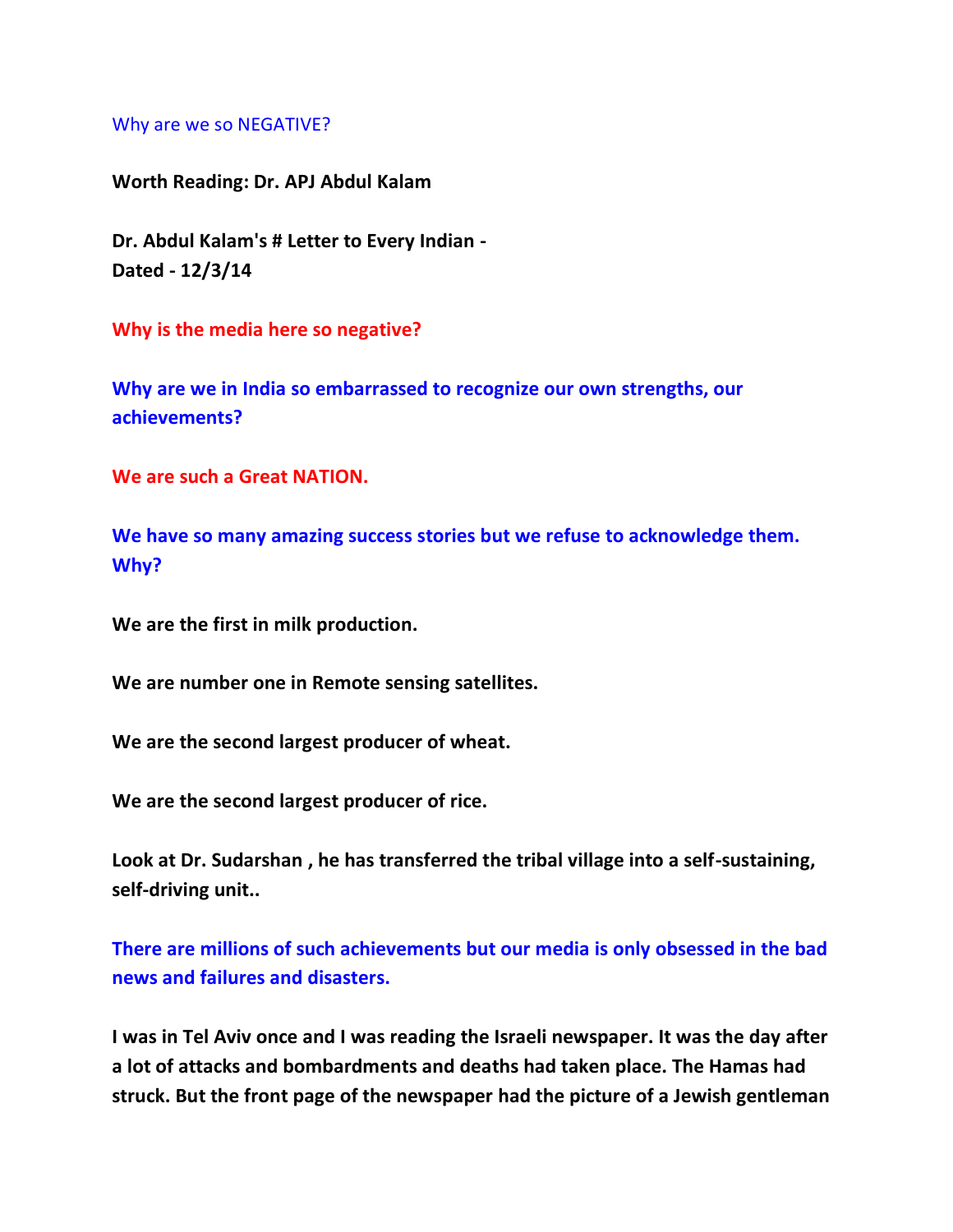## Why are we so NEGATIVE?

**Worth Reading: Dr. APJ Abdul Kalam**

**Dr. Abdul Kalam's # Letter to Every Indian - Dated - 12/3/14**

**Why is the media here so negative?**

**Why are we in India so embarrassed to recognize our own strengths, our achievements?**

**We are such a Great NATION.**

**We have so many amazing success stories but we refuse to acknowledge them. Why?**

**We are the first in milk production.**

**We are number one in Remote sensing satellites.**

**We are the second largest producer of wheat.**

**We are the second largest producer of rice.**

**Look at Dr. Sudarshan , he has transferred the tribal village into a self-sustaining, self-driving unit..**

**There are millions of such achievements but our media is only obsessed in the bad news and failures and disasters.**

**I was in Tel Aviv once and I was reading the Israeli newspaper. It was the day after a lot of attacks and bombardments and deaths had taken place. The Hamas had struck. But the front page of the newspaper had the picture of a Jewish gentleman**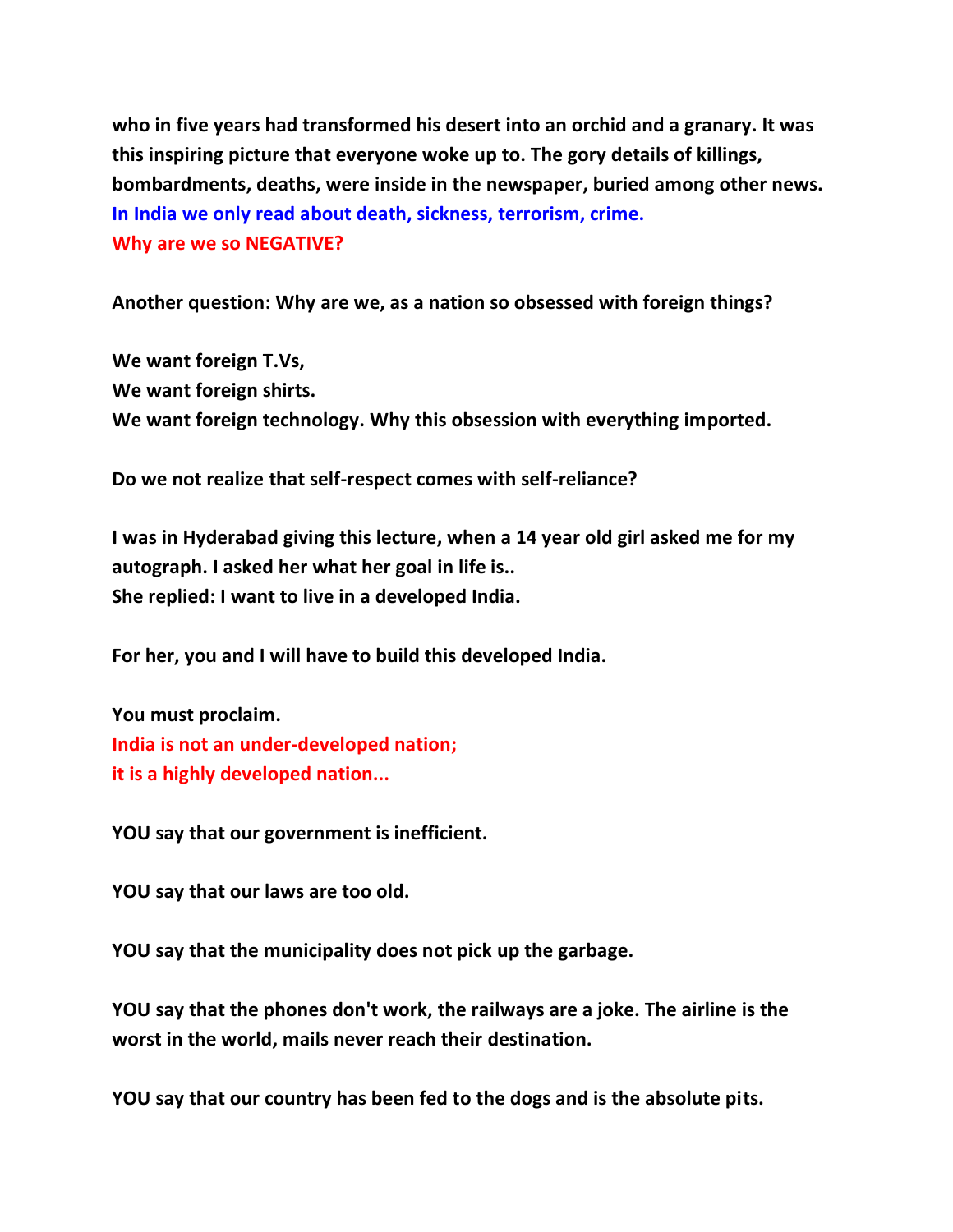**who in five years had transformed his desert into an orchid and a granary. It was this inspiring picture that everyone woke up to. The gory details of killings, bombardments, deaths, were inside in the newspaper, buried among other news. In India we only read about death, sickness, terrorism, crime. Why are we so NEGATIVE?**

**Another question: Why are we, as a nation so obsessed with foreign things?**

**We want foreign T.Vs, We want foreign shirts. We want foreign technology. Why this obsession with everything imported.**

**Do we not realize that self-respect comes with self-reliance?**

**I was in Hyderabad giving this lecture, when a 14 year old girl asked me for my autograph. I asked her what her goal in life is.. She replied: I want to live in a developed India.**

**For her, you and I will have to build this developed India.**

**You must proclaim. India is not an under-developed nation; it is a highly developed nation...**

**YOU say that our government is inefficient.**

**YOU say that our laws are too old.**

**YOU say that the municipality does not pick up the garbage.**

**YOU say that the phones don't work, the railways are a joke. The airline is the worst in the world, mails never reach their destination.**

**YOU say that our country has been fed to the dogs and is the absolute pits.**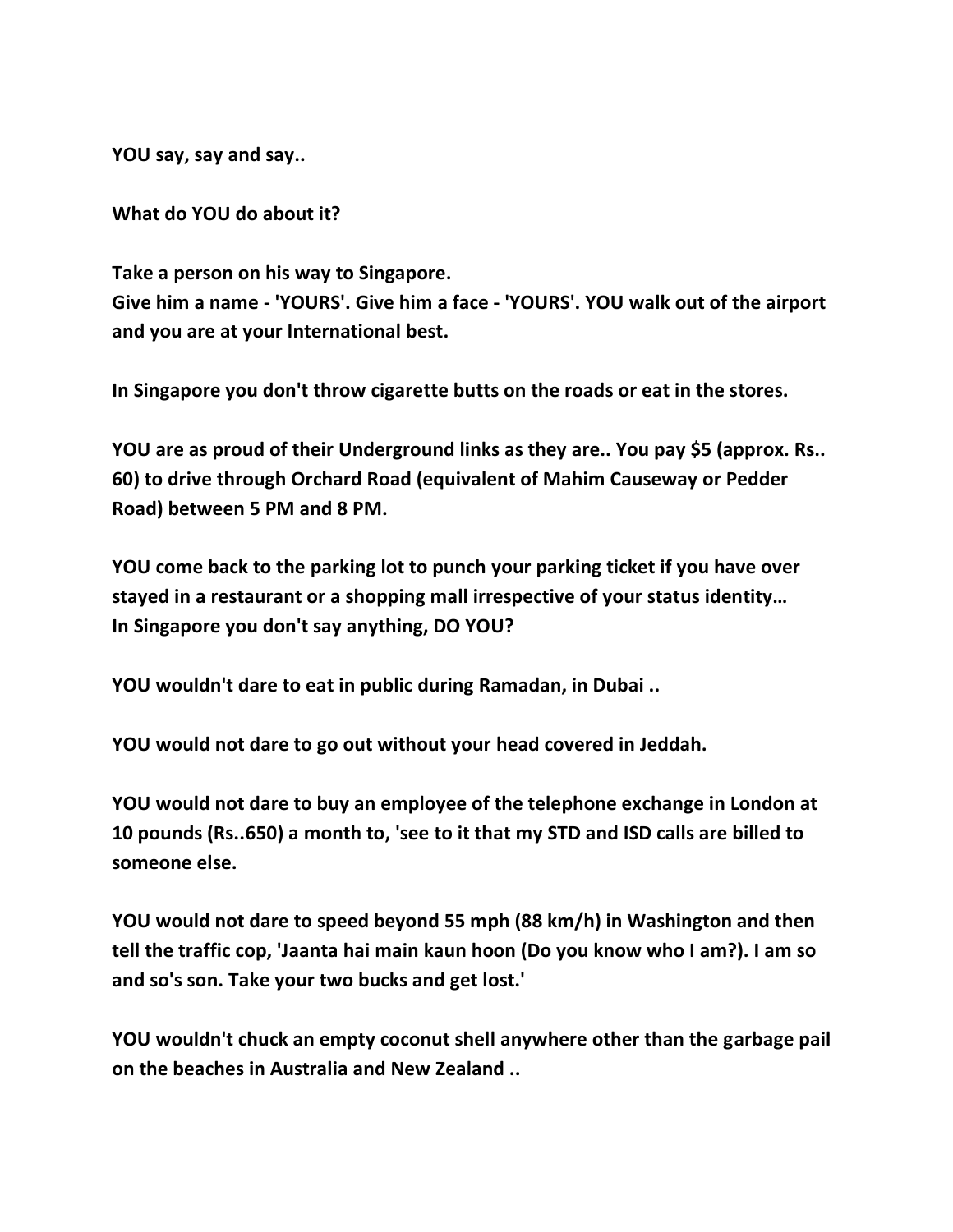**YOU say, say and say..**

**What do YOU do about it?**

**Take a person on his way to Singapore. Give him a name - 'YOURS'. Give him a face - 'YOURS'. YOU walk out of the airport and you are at your International best.**

**In Singapore you don't throw cigarette butts on the roads or eat in the stores.**

**YOU are as proud of their Underground links as they are.. You pay \$5 (approx. Rs.. 60) to drive through Orchard Road (equivalent of Mahim Causeway or Pedder Road) between 5 PM and 8 PM.**

**YOU come back to the parking lot to punch your parking ticket if you have over stayed in a restaurant or a shopping mall irrespective of your status identity… In Singapore you don't say anything, DO YOU?**

**YOU wouldn't dare to eat in public during Ramadan, in Dubai ..**

**YOU would not dare to go out without your head covered in Jeddah.**

**YOU would not dare to buy an employee of the telephone exchange in London at 10 pounds (Rs..650) a month to, 'see to it that my STD and ISD calls are billed to someone else.**

**YOU would not dare to speed beyond 55 mph (88 km/h) in Washington and then tell the traffic cop, 'Jaanta hai main kaun hoon (Do you know who I am?). I am so and so's son. Take your two bucks and get lost.'**

**YOU wouldn't chuck an empty coconut shell anywhere other than the garbage pail on the beaches in Australia and New Zealand ..**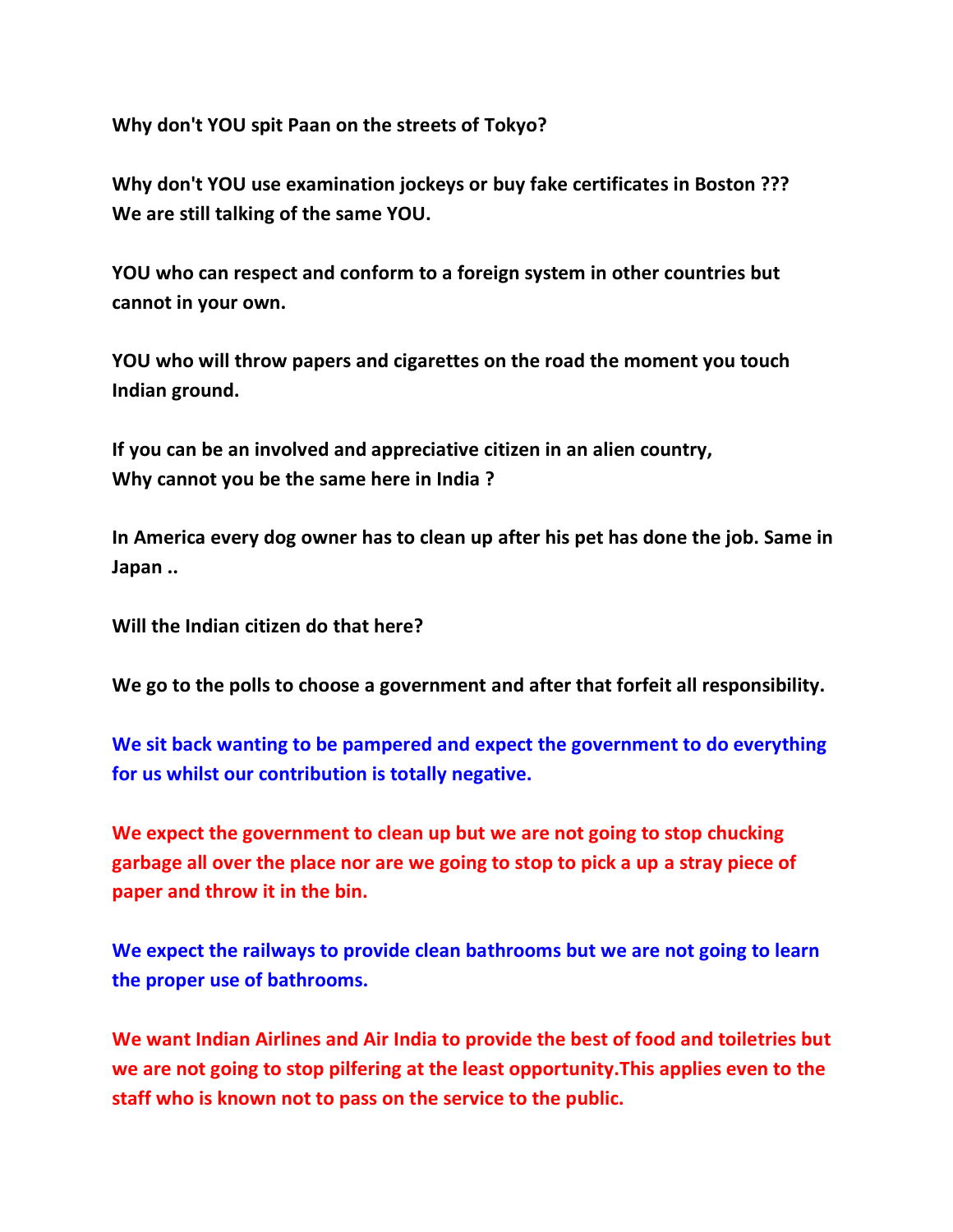**Why don't YOU spit Paan on the streets of Tokyo?**

**Why don't YOU use examination jockeys or buy fake certificates in Boston ??? We are still talking of the same YOU.**

**YOU who can respect and conform to a foreign system in other countries but cannot in your own.**

**YOU who will throw papers and cigarettes on the road the moment you touch Indian ground.**

**If you can be an involved and appreciative citizen in an alien country, Why cannot you be the same here in India ?**

**In America every dog owner has to clean up after his pet has done the job. Same in Japan ..**

**Will the Indian citizen do that here?**

**We go to the polls to choose a government and after that forfeit all responsibility.**

**We sit back wanting to be pampered and expect the government to do everything for us whilst our contribution is totally negative.**

**We expect the government to clean up but we are not going to stop chucking garbage all over the place nor are we going to stop to pick a up a stray piece of paper and throw it in the bin.**

**We expect the railways to provide clean bathrooms but we are not going to learn the proper use of bathrooms.**

**We want Indian Airlines and Air India to provide the best of food and toiletries but we are not going to stop pilfering at the least opportunity.This applies even to the staff who is known not to pass on the service to the public.**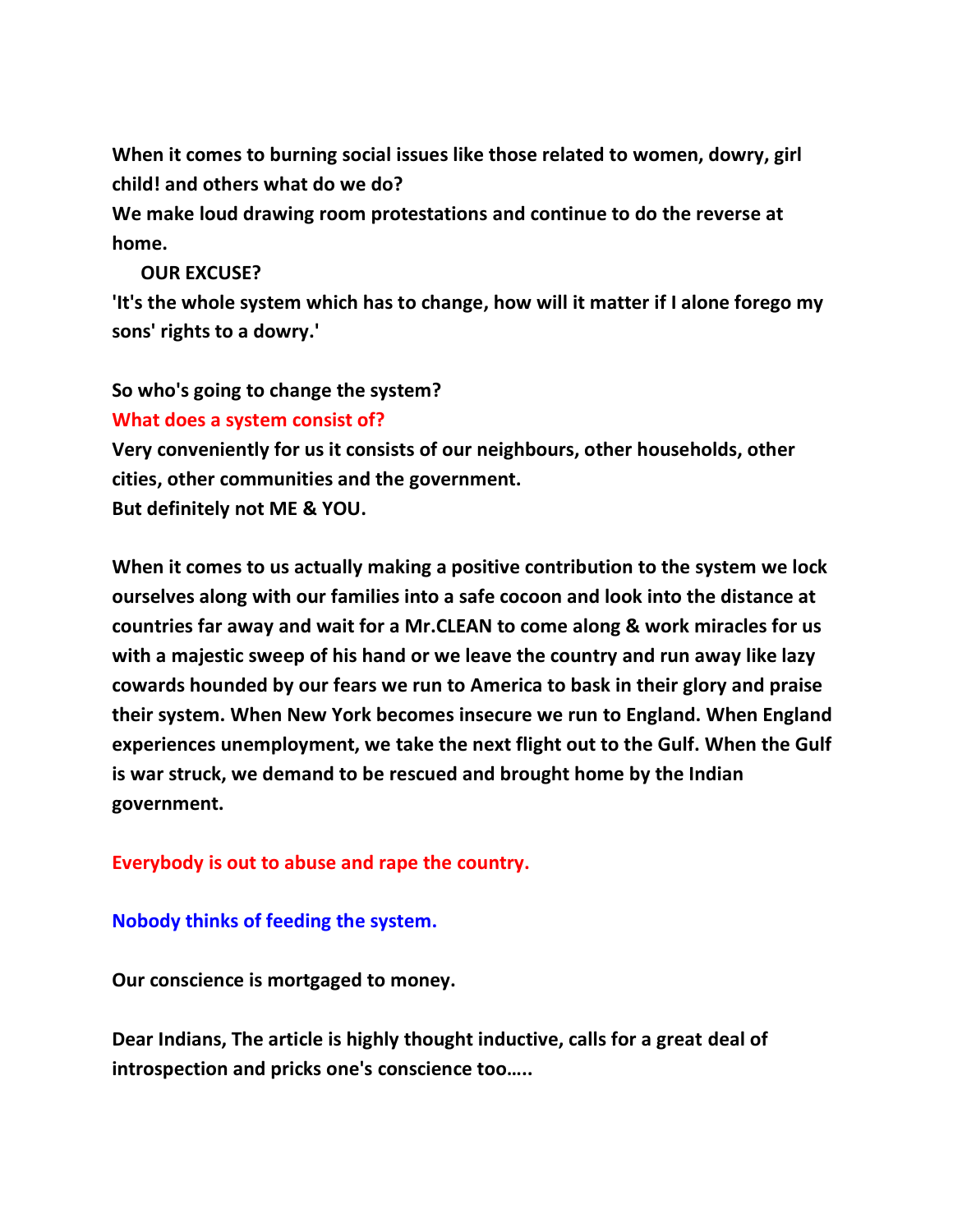**When it comes to burning social issues like those related to women, dowry, girl child! and others what do we do?**

**We make loud drawing room protestations and continue to do the reverse at home.**

## **OUR EXCUSE?**

**'It's the whole system which has to change, how will it matter if I alone forego my sons' rights to a dowry.'**

**So who's going to change the system?**

## **What does a system consist of?**

**Very conveniently for us it consists of our neighbours, other households, other cities, other communities and the government.**

**But definitely not ME & YOU.**

**When it comes to us actually making a positive contribution to the system we lock ourselves along with our families into a safe cocoon and look into the distance at countries far away and wait for a Mr.CLEAN to come along & work miracles for us with a majestic sweep of his hand or we leave the country and run away like lazy cowards hounded by our fears we run to America to bask in their glory and praise their system. When New York becomes insecure we run to England. When England experiences unemployment, we take the next flight out to the Gulf. When the Gulf is war struck, we demand to be rescued and brought home by the Indian government.**

**Everybody is out to abuse and rape the country.**

## **Nobody thinks of feeding the system.**

**Our conscience is mortgaged to money.**

**Dear Indians, The article is highly thought inductive, calls for a great deal of introspection and pricks one's conscience too…..**